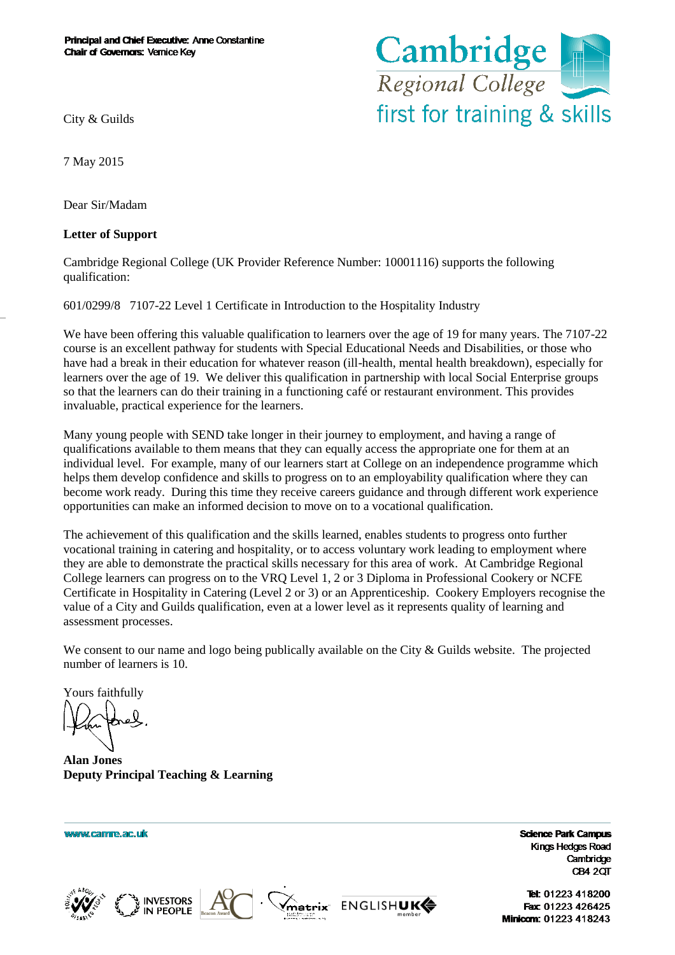

City & Guilds

7 May 2015

Dear Sir/Madam

## **Letter of Support**

Cambridge Regional College (UK Provider Reference Number: 10001116) supports the following qualification:

601/0299/8 7107-22 Level 1 Certificate in Introduction to the Hospitality Industry

We have been offering this valuable qualification to learners over the age of 19 for many years. The 7107-22 course is an excellent pathway for students with Special Educational Needs and Disabilities, or those who have had a break in their education for whatever reason (ill-health, mental health breakdown), especially for learners over the age of 19. We deliver this qualification in partnership with local Social Enterprise groups so that the learners can do their training in a functioning café or restaurant environment. This provides invaluable, practical experience for the learners.

Many young people with SEND take longer in their journey to employment, and having a range of qualifications available to them means that they can equally access the appropriate one for them at an individual level. For example, many of our learners start at College on an independence programme which helps them develop confidence and skills to progress on to an employability qualification where they can become work ready. During this time they receive careers guidance and through different work experience opportunities can make an informed decision to move on to a vocational qualification.

The achievement of this qualification and the skills learned, enables students to progress onto further vocational training in catering and hospitality, or to access voluntary work leading to employment where they are able to demonstrate the practical skills necessary for this area of work. At Cambridge Regional College learners can progress on to the VRQ Level 1, 2 or 3 Diploma in Professional Cookery or NCFE Certificate in Hospitality in Catering (Level 2 or 3) or an Apprenticeship. Cookery Employers recognise the value of a City and Guilds qualification, even at a lower level as it represents quality of learning and assessment processes.

We consent to our name and logo being publically available on the City & Guilds website. The projected number of learners is 10.

Yours faithfully

**Alan Jones Deputy Principal Teaching & Learning**

www.camre.ac.uk







**Science Park Campus** Kings Hedges Road Cambridge CB4 2QT

Tel: 01223 418200 Fax: 01223 426425 Minicom: 01223 418243